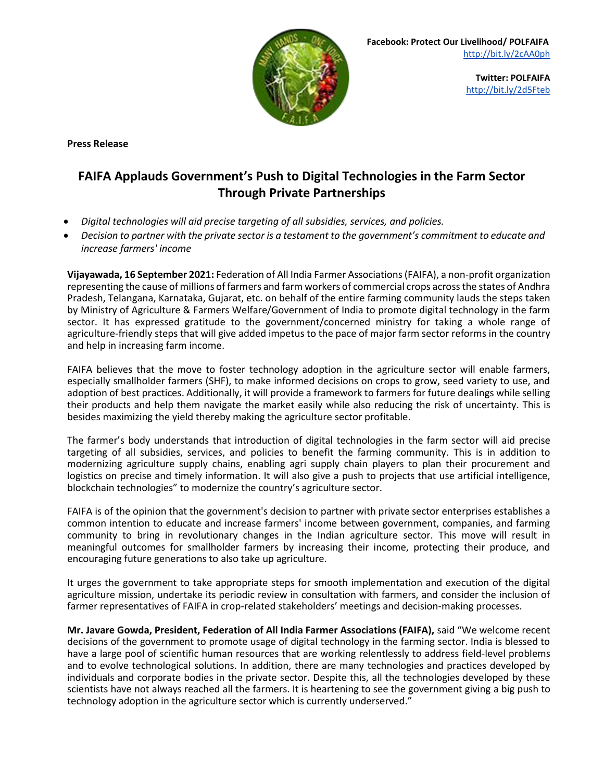

**Twitter: POLFAIFA** <http://bit.ly/2d5Fteb>

**Press Release**

## **FAIFA Applauds Government's Push to Digital Technologies in the Farm Sector Through Private Partnerships**

- *Digital technologies will aid precise targeting of all subsidies, services, and policies.*
- *Decision to partner with the private sector is a testament to the government's commitment to educate and increase farmers' income*

**Vijayawada, 16 September 2021:** Federation of All India Farmer Associations (FAIFA), a non-profit organization representing the cause of millions of farmers and farm workers of commercial crops across the states of Andhra Pradesh, Telangana, Karnataka, Gujarat, etc. on behalf of the entire farming community lauds the steps taken by Ministry of Agriculture & Farmers Welfare/Government of India to promote digital technology in the farm sector. It has expressed gratitude to the government/concerned ministry for taking a whole range of agriculture-friendly steps that will give added impetus to the pace of major farm sector reforms in the country and help in increasing farm income.

FAIFA believes that the move to foster technology adoption in the agriculture sector will enable farmers, especially smallholder farmers (SHF), to make informed decisions on crops to grow, seed variety to use, and adoption of best practices. Additionally, it will provide a framework to farmers for future dealings while selling their products and help them navigate the market easily while also reducing the risk of uncertainty. This is besides maximizing the yield thereby making the agriculture sector profitable.

The farmer's body understands that introduction of digital technologies in the farm sector will aid precise targeting of all subsidies, services, and policies to benefit the farming community. This is in addition to modernizing agriculture supply chains, enabling agri supply chain players to plan their procurement and logistics on precise and timely information. It will also give a push to projects that use artificial intelligence, blockchain technologies" to modernize the country's agriculture sector.

FAIFA is of the opinion that the government's decision to partner with private sector enterprises establishes a common intention to educate and increase farmers' income between government, companies, and farming community to bring in revolutionary changes in the Indian agriculture sector. This move will result in meaningful outcomes for smallholder farmers by increasing their income, protecting their produce, and encouraging future generations to also take up agriculture.

It urges the government to take appropriate steps for smooth implementation and execution of the digital agriculture mission, undertake its periodic review in consultation with farmers, and consider the inclusion of farmer representatives of FAIFA in crop-related stakeholders' meetings and decision-making processes.

**Mr. Javare Gowda, President, Federation of All India Farmer Associations (FAIFA),** said "We welcome recent decisions of the government to promote usage of digital technology in the farming sector. India is blessed to have a large pool of scientific human resources that are working relentlessly to address field-level problems and to evolve technological solutions. In addition, there are many technologies and practices developed by individuals and corporate bodies in the private sector. Despite this, all the technologies developed by these scientists have not always reached all the farmers. It is heartening to see the government giving a big push to technology adoption in the agriculture sector which is currently underserved."